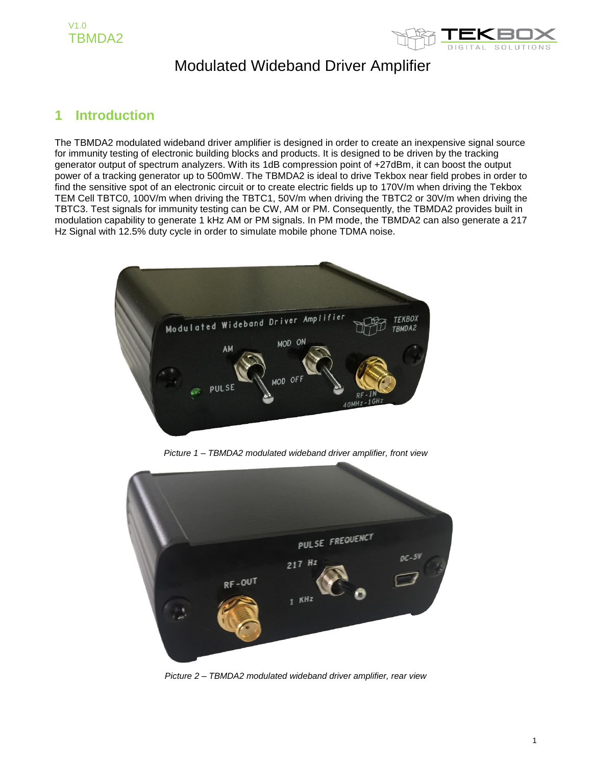

### **1 Introduction**

The TBMDA2 modulated wideband driver amplifier is designed in order to create an inexpensive signal source for immunity testing of electronic building blocks and products. It is designed to be driven by the tracking generator output of spectrum analyzers. With its 1dB compression point of +27dBm, it can boost the output power of a tracking generator up to 500mW. The TBMDA2 is ideal to drive Tekbox near field probes in order to find the sensitive spot of an electronic circuit or to create electric fields up to 170V/m when driving the Tekbox TEM Cell TBTC0, 100V/m when driving the TBTC1, 50V/m when driving the TBTC2 or 30V/m when driving the TBTC3. Test signals for immunity testing can be CW, AM or PM. Consequently, the TBMDA2 provides built in modulation capability to generate 1 kHz AM or PM signals. In PM mode, the TBMDA2 can also generate a 217 Hz Signal with 12.5% duty cycle in order to simulate mobile phone TDMA noise.



*Picture 1 – TBMDA2 modulated wideband driver amplifier, front view*



*Picture 2 – TBMDA2 modulated wideband driver amplifier, rear view*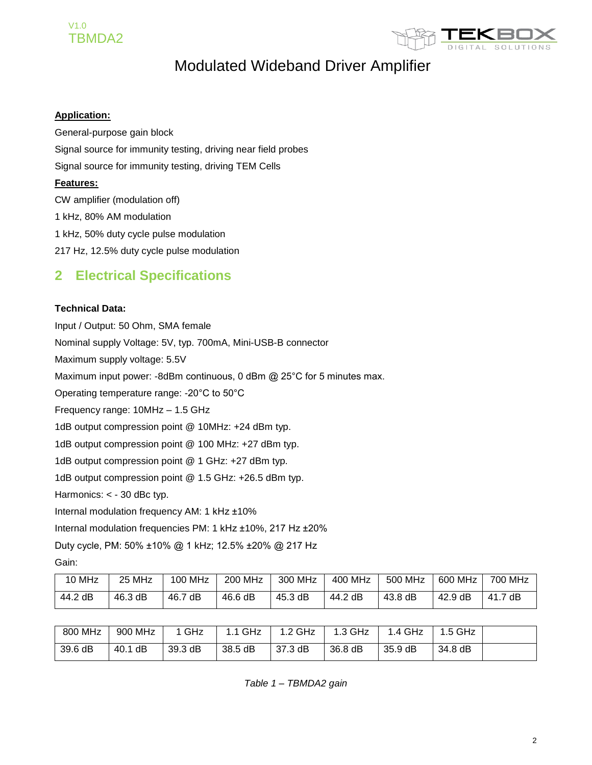



#### **Application:**

General-purpose gain block Signal source for immunity testing, driving near field probes Signal source for immunity testing, driving TEM Cells **Features:** CW amplifier (modulation off) 1 kHz, 80% AM modulation 1 kHz, 50% duty cycle pulse modulation

217 Hz, 12.5% duty cycle pulse modulation

### **2 Electrical Specifications**

#### **Technical Data:**

Input / Output: 50 Ohm, SMA female

Nominal supply Voltage: 5V, typ. 700mA, Mini-USB-B connector

Maximum supply voltage: 5.5V

Maximum input power: -8dBm continuous, 0 dBm @ 25°C for 5 minutes max.

Operating temperature range: -20°C to 50°C

Frequency range: 10MHz – 1.5 GHz

1dB output compression point @ 10MHz: +24 dBm typ.

1dB output compression point @ 100 MHz: +27 dBm typ.

1dB output compression point @ 1 GHz: +27 dBm typ.

1dB output compression point @ 1.5 GHz: +26.5 dBm typ.

Harmonics: < - 30 dBc typ.

Internal modulation frequency AM: 1 kHz ±10%

Internal modulation frequencies PM: 1 kHz ±10%, 217 Hz ±20%

Duty cycle, PM: 50% ±10% @ 1 kHz; 12.5% ±20% @ 217 Hz

Gain:

| 10 MHz  | 25 MHz  | <b>100 MHz</b> | 200 MHz | 300 MHz | 400 MHz | 500 MHz | 600 MHz | 700 MHz |
|---------|---------|----------------|---------|---------|---------|---------|---------|---------|
| 44.2 dB | 46.3 dB | 46.7 dB        | 46.6 dB | 45.3 dB | 44.2 dB | 43.8 dB | 42.9 dB | 41.7 dB |

| 800 MHz | 900 MHz    | 1 GHz   | 1.1 GHz | 1.2 GHz | 1.3 GHz | 1.4 GHz | $1.5$ GHz |  |
|---------|------------|---------|---------|---------|---------|---------|-----------|--|
| 39.6 dB | dB<br>40.1 | 39.3 dB | 38.5 dB | 37.3 dB | 36.8 dB | 35.9 dB | 34.8 dB   |  |

*Table 1 – TBMDA2 gain*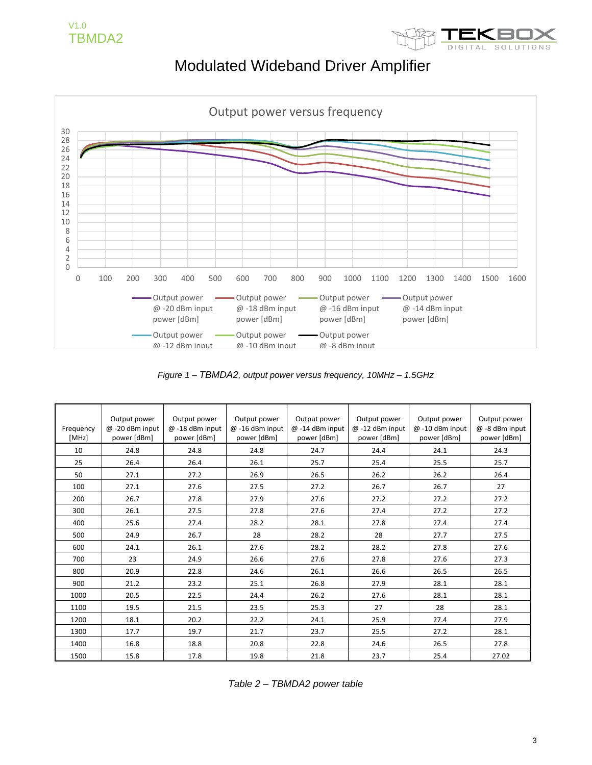



*Figure 1 – TBMDA2, output power versus frequency, 10MHz – 1.5GHz*

| Frequency<br>[MHz] | Output power<br>$@ -20$ dBm input<br>power [dBm] | Output power<br>$@ -18$ dBm input<br>power [dBm] | Output power<br>$@ -16$ dBm input<br>power [dBm] | Output power<br>$@ -14$ dBm input<br>power [dBm] | Output power<br>@-12 dBm input<br>power [dBm] | Output power<br>@-10 dBm input<br>power [dBm] | Output power<br>@-8 dBm input<br>power [dBm] |
|--------------------|--------------------------------------------------|--------------------------------------------------|--------------------------------------------------|--------------------------------------------------|-----------------------------------------------|-----------------------------------------------|----------------------------------------------|
| 10                 | 24.8                                             | 24.8                                             | 24.8                                             | 24.7                                             | 24.4                                          | 24.1                                          | 24.3                                         |
| 25                 | 26.4                                             | 26.4                                             | 26.1                                             | 25.7                                             | 25.4                                          | 25.5                                          | 25.7                                         |
| 50                 | 27.1                                             | 27.2                                             | 26.9                                             | 26.5                                             | 26.2                                          | 26.2                                          | 26.4                                         |
| 100                | 27.1                                             | 27.6                                             | 27.5                                             | 27.2                                             | 26.7                                          | 26.7                                          | 27                                           |
| 200                | 26.7                                             | 27.8                                             | 27.9                                             | 27.6                                             | 27.2                                          | 27.2                                          | 27.2                                         |
| 300                | 26.1                                             | 27.5                                             | 27.8                                             | 27.6                                             | 27.4                                          | 27.2                                          | 27.2                                         |
| 400                | 25.6                                             | 27.4                                             | 28.2                                             | 28.1                                             | 27.8                                          | 27.4                                          | 27.4                                         |
| 500                | 24.9                                             | 26.7                                             | 28                                               | 28.2                                             | 28                                            | 27.7                                          | 27.5                                         |
| 600                | 24.1                                             | 26.1                                             | 27.6                                             | 28.2                                             | 28.2                                          | 27.8                                          | 27.6                                         |
| 700                | 23                                               | 24.9                                             | 26.6                                             | 27.6                                             | 27.8                                          | 27.6                                          | 27.3                                         |
| 800                | 20.9                                             | 22.8                                             | 24.6                                             | 26.1                                             | 26.6                                          | 26.5                                          | 26.5                                         |
| 900                | 21.2                                             | 23.2                                             | 25.1                                             | 26.8                                             | 27.9                                          | 28.1                                          | 28.1                                         |
| 1000               | 20.5                                             | 22.5                                             | 24.4                                             | 26.2                                             | 27.6                                          | 28.1                                          | 28.1                                         |
| 1100               | 19.5                                             | 21.5                                             | 23.5                                             | 25.3                                             | 27                                            | 28                                            | 28.1                                         |
| 1200               | 18.1                                             | 20.2                                             | 22.2                                             | 24.1                                             | 25.9                                          | 27.4                                          | 27.9                                         |
| 1300               | 17.7                                             | 19.7                                             | 21.7                                             | 23.7                                             | 25.5                                          | 27.2                                          | 28.1                                         |
| 1400               | 16.8                                             | 18.8                                             | 20.8                                             | 22.8                                             | 24.6                                          | 26.5                                          | 27.8                                         |
| 1500               | 15.8                                             | 17.8                                             | 19.8                                             | 21.8                                             | 23.7                                          | 25.4                                          | 27.02                                        |

*Table 2 – TBMDA2 power table*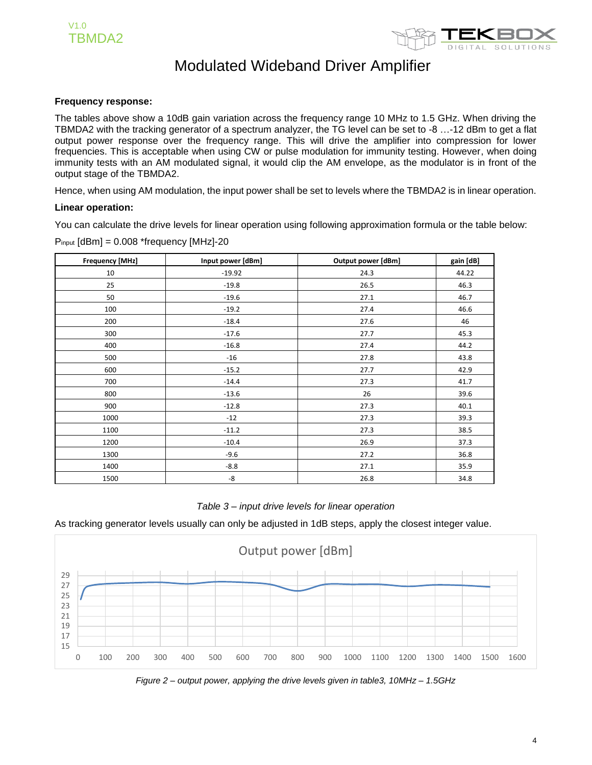

#### **Frequency response:**

The tables above show a 10dB gain variation across the frequency range 10 MHz to 1.5 GHz. When driving the TBMDA2 with the tracking generator of a spectrum analyzer, the TG level can be set to -8 …-12 dBm to get a flat output power response over the frequency range. This will drive the amplifier into compression for lower frequencies. This is acceptable when using CW or pulse modulation for immunity testing. However, when doing immunity tests with an AM modulated signal, it would clip the AM envelope, as the modulator is in front of the output stage of the TBMDA2.

Hence, when using AM modulation, the input power shall be set to levels where the TBMDA2 is in linear operation.

#### **Linear operation:**

You can calculate the drive levels for linear operation using following approximation formula or the table below:

| <b>Frequency [MHz]</b> | Input power [dBm] | Output power [dBm] | gain [dB] |
|------------------------|-------------------|--------------------|-----------|
| 10                     | $-19.92$          | 24.3               | 44.22     |
| 25                     | $-19.8$           | 26.5               | 46.3      |
| 50                     | $-19.6$           | 27.1               | 46.7      |
| 100                    | $-19.2$           | 27.4               | 46.6      |
| 200                    | $-18.4$           | 27.6               | 46        |
| 300                    | $-17.6$           | 27.7               | 45.3      |
| 400                    | $-16.8$           | 27.4               | 44.2      |
| 500                    | $-16$             | 27.8               | 43.8      |
| 600                    | $-15.2$           | 27.7               | 42.9      |
| 700                    | $-14.4$           | 27.3               | 41.7      |
| 800                    | $-13.6$           | 26                 | 39.6      |
| 900                    | $-12.8$           | 27.3               | 40.1      |
| 1000                   | $-12$             | 27.3               | 39.3      |
| 1100                   | $-11.2$           | 27.3               | 38.5      |
| 1200                   | $-10.4$           | 26.9               | 37.3      |
| 1300                   | $-9.6$            | 27.2               | 36.8      |
| 1400                   | $-8.8$            | 27.1               | 35.9      |
| 1500                   | $-8$              | 26.8               | 34.8      |

Pinput [dBm] = 0.008 \*frequency [MHz]-20

#### *Table 3 – input drive levels for linear operation*

As tracking generator levels usually can only be adjusted in 1dB steps, apply the closest integer value.



*Figure 2 – output power, applying the drive levels given in table3, 10MHz – 1.5GHz*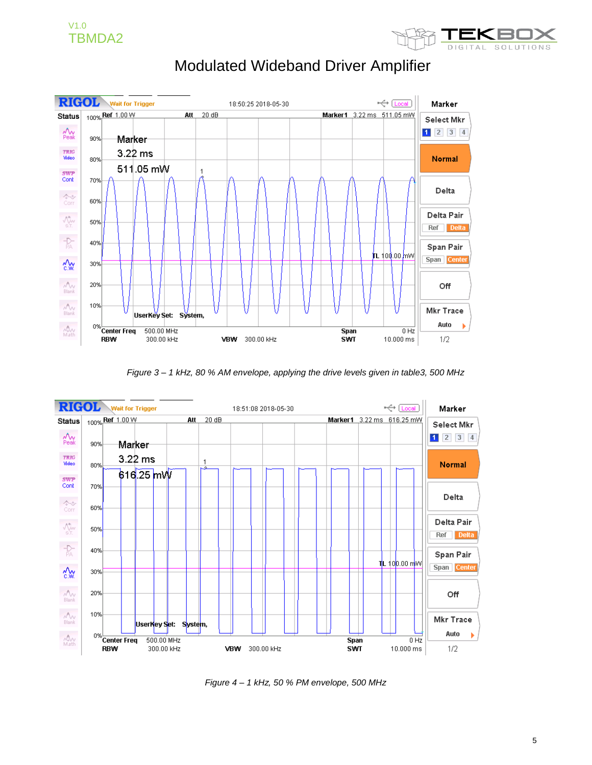



*Figure 3 – 1 kHz, 80 % AM envelope, applying the drive levels given in table3, 500 MHz*



*Figure 4 – 1 kHz, 50 % PM envelope, 500 MHz*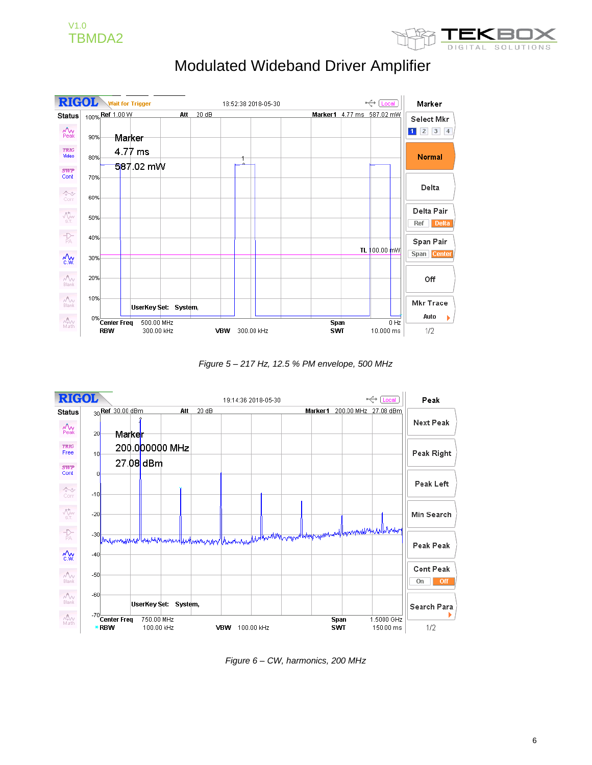



*Figure 5 – 217 Hz, 12.5 % PM envelope, 500 MHz*



*Figure 6 – CW, harmonics, 200 MHz*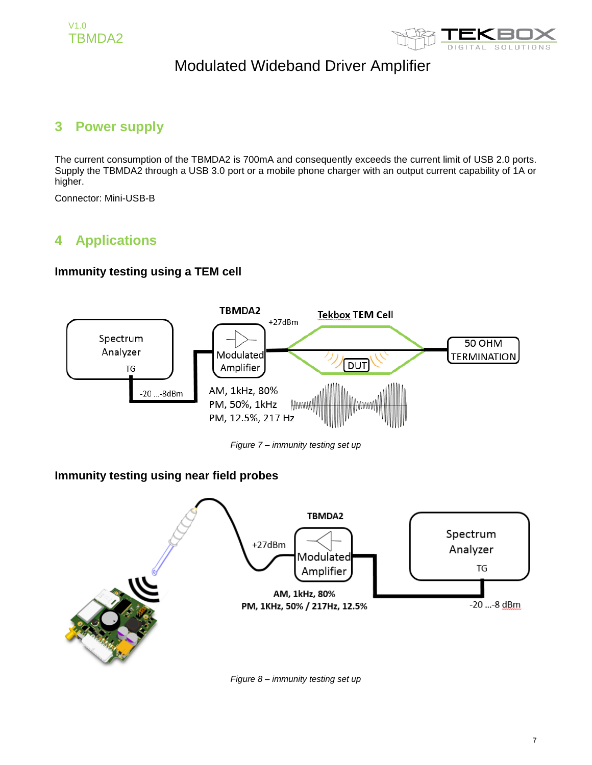



### **3 Power supply**

The current consumption of the TBMDA2 is 700mA and consequently exceeds the current limit of USB 2.0 ports. Supply the TBMDA2 through a USB 3.0 port or a mobile phone charger with an output current capability of 1A or higher.

Connector: Mini-USB-B

### **4 Applications**

#### **Immunity testing using a TEM cell**



*Figure 7 – immunity testing set up*

#### **Immunity testing using near field probes**



*Figure 8 – immunity testing set up*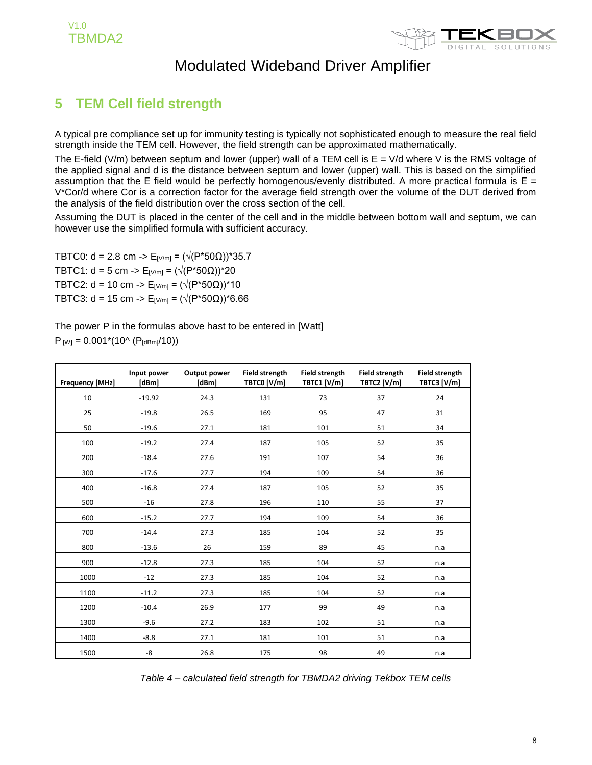



### **5 TEM Cell field strength**

A typical pre compliance set up for immunity testing is typically not sophisticated enough to measure the real field strength inside the TEM cell. However, the field strength can be approximated mathematically.

The E-field (V/m) between septum and lower (upper) wall of a TEM cell is  $E = V/d$  where V is the RMS voltage of the applied signal and d is the distance between septum and lower (upper) wall. This is based on the simplified assumption that the E field would be perfectly homogenous/evenly distributed. A more practical formula is  $E =$ V\*Cor/d where Cor is a correction factor for the average field strength over the volume of the DUT derived from the analysis of the field distribution over the cross section of the cell.

Assuming the DUT is placed in the center of the cell and in the middle between bottom wall and septum, we can however use the simplified formula with sufficient accuracy.

TBTC0: d = 2.8 cm -> E<sub>[V/m]</sub> =  $(\sqrt{(P^*50\Omega)})^*35.7$ TBTC1: d = 5 cm -> E<sub>[V/m]</sub> = ( $\sqrt{(P*50\Omega)}$ <sup>+</sup>20 TBTC2: d = 10 cm -> E<sub>[V/m]</sub> = ( $\sqrt{(P^*50\Omega)}$ )\*10 TBTC3: d = 15 cm -> E[V/m] = (√(P\*50Ω))\*6.66

The power P in the formulas above hast to be entered in [Watt]  $P_{[W]} = 0.001*(10^{6} (P_{[dBm]}/10))$ 

| <b>Frequency [MHz]</b> | Input power<br>[dBm] | Output power<br>[dBm] | <b>Field strength</b><br>TBTC0 [V/m] | <b>Field strength</b><br>TBTC1 [V/m] | <b>Field strength</b><br>TBTC2 [V/m] | <b>Field strength</b><br>TBTC3 [V/m] |
|------------------------|----------------------|-----------------------|--------------------------------------|--------------------------------------|--------------------------------------|--------------------------------------|
| 10                     | $-19.92$             | 24.3                  | 131                                  | 73                                   | 37                                   | 24                                   |
| 25                     | $-19.8$              | 26.5                  | 169                                  | 95                                   | 47                                   | 31                                   |
| 50                     | $-19.6$              | 27.1                  | 181                                  | 101                                  | 51                                   | 34                                   |
| 100                    | $-19.2$              | 27.4                  | 187                                  | 105                                  | 52                                   | 35                                   |
| 200                    | $-18.4$              | 27.6                  | 191                                  | 107                                  | 54                                   | 36                                   |
| 300                    | $-17.6$              | 27.7                  | 194                                  | 109                                  | 54                                   | 36                                   |
| 400                    | $-16.8$              | 27.4                  | 187                                  | 105                                  | 52                                   | 35                                   |
| 500                    | $-16$                | 27.8                  | 196                                  | 110                                  | 55                                   | 37                                   |
| 600                    | $-15.2$              | 27.7                  | 194                                  | 109                                  | 54                                   | 36                                   |
| 700                    | $-14.4$              | 27.3                  | 185                                  | 104                                  | 52                                   | 35                                   |
| 800                    | $-13.6$              | 26                    | 159                                  | 89                                   | 45                                   | n.a                                  |
| 900                    | $-12.8$              | 27.3                  | 185                                  | 104                                  | 52                                   | n.a                                  |
| 1000                   | $-12$                | 27.3                  | 185                                  | 104                                  | 52                                   | n.a                                  |
| 1100                   | $-11.2$              | 27.3                  | 185                                  | 104                                  | 52                                   | n.a                                  |
| 1200                   | $-10.4$              | 26.9                  | 177                                  | 99                                   | 49                                   | n.a                                  |
| 1300                   | $-9.6$               | 27.2                  | 183                                  | 102                                  | 51                                   | n.a                                  |
| 1400                   | $-8.8$               | 27.1                  | 181                                  | 101                                  | 51                                   | n.a                                  |
| 1500                   | -8                   | 26.8                  | 175                                  | 98                                   | 49                                   | n.a                                  |

*Table 4 – calculated field strength for TBMDA2 driving Tekbox TEM cells*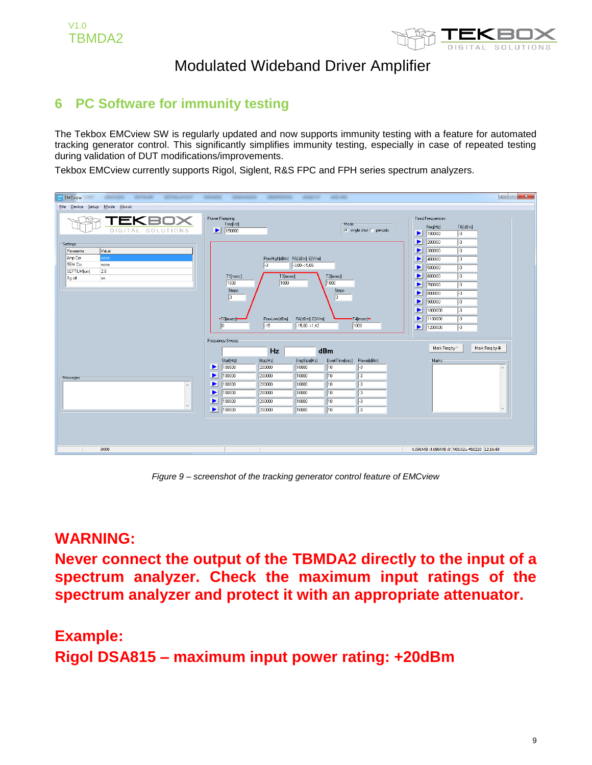

### **6 PC Software for immunity testing**

The Tekbox EMCview SW is regularly updated and now supports immunity testing with a feature for automated tracking generator control. This significantly simplifies immunity testing, especially in case of repeated testing during validation of DUT modifications/improvements.

Tekbox EMCview currently supports Rigol, Siglent, R&S FPC and FPH series spectrum analyzers.

| <b>EMCview</b><br><b>SERVICE AND</b><br>---<br><b>SERVICE AND REAL</b>                                     | <b>STATISTICS</b><br><b>START PRODUCTS</b>                                                                                                                                       | <b>CONTRACTOR</b>                                                                   | --<br>-                                                                                                                                    |                                                                                                                  | $\mathbf{x}$<br>$=$ $\blacksquare$                                                                                                                                                                                                                                                                                                                                                                                                                                                                                                     |
|------------------------------------------------------------------------------------------------------------|----------------------------------------------------------------------------------------------------------------------------------------------------------------------------------|-------------------------------------------------------------------------------------|--------------------------------------------------------------------------------------------------------------------------------------------|------------------------------------------------------------------------------------------------------------------|----------------------------------------------------------------------------------------------------------------------------------------------------------------------------------------------------------------------------------------------------------------------------------------------------------------------------------------------------------------------------------------------------------------------------------------------------------------------------------------------------------------------------------------|
| File Device Setup<br>Mode About                                                                            |                                                                                                                                                                                  |                                                                                     |                                                                                                                                            |                                                                                                                  |                                                                                                                                                                                                                                                                                                                                                                                                                                                                                                                                        |
| TEKBI<br>コメ<br>DIGITAL SOLUTIONS                                                                           | Power Ramping<br>Freq[Hz]<br>$\blacktriangleright$ 150000                                                                                                                        |                                                                                     |                                                                                                                                            | Mode<br>$\odot$ single shot $\odot$ periodic                                                                     | <b>Fixed Frequencies</b><br>Freq[Hz]<br>TG[dBm]<br>$\sqrt{3}$<br>$\blacktriangleright$ 100000                                                                                                                                                                                                                                                                                                                                                                                                                                          |
| Settings<br>Parameter<br>Value<br>Amp Cor<br>none<br>TEM Cor<br>none<br>SEPTUM[cm]<br>2.8<br>Tg off<br>lon | T1[msec]<br>1000<br>Steps<br>$\sqrt{3}$<br>$-10$ [msec] $-$<br>$ 0\rangle$                                                                                                       | PowHigh[dBm] PA[dBm] E[V/m]<br>ŀз<br>T3[msec]<br>1000<br>PowLow[dBm]<br>$\sqrt{15}$ | $3,00 \rightarrow 5,65$<br>T2[msec]<br>1000<br>$\sqrt{3}$<br>PA[dBm] E[V/m]<br>$15,00 \rightarrow 1,42$                                    | Steps<br>-T4[msec]-<br>1000                                                                                      | $\blacktriangleright$<br>$\sqrt{3}$<br>200000<br>$\blacktriangleright$<br>300000<br>$\sqrt{3}$<br>$\blacktriangleright$ 400000<br>$\sqrt{3}$<br>$\sqrt{3}$<br>$\blacktriangleright$<br>500000<br>$\blacktriangleright$<br>600000<br>$\sqrt{3}$<br>$\blacktriangleright$<br>700000<br>$\vert \cdot \cdot \rangle$<br>800000<br>P.<br>$\sqrt{3}$<br>900000<br>Þ.<br>ŀз<br>$\overline{\mathbb{E}^3}$<br>1000000<br>$\blacktriangleright$<br>$\blacktriangleright$<br>1100000<br>$\sqrt{3}$<br>$\blacktriangleright$ 1200000<br>$\sqrt{3}$ |
|                                                                                                            | Frequency Sweep                                                                                                                                                                  | Hz                                                                                  | dBm                                                                                                                                        |                                                                                                                  | Mark Freq by *<br>Mark Freq by #                                                                                                                                                                                                                                                                                                                                                                                                                                                                                                       |
| Messages<br>A<br>$\overline{\phantom{a}}$                                                                  | Start[Hz]<br>$\blacktriangleright$<br>100000<br>$\blacktriangleright$<br>100000<br>▶<br>100000<br>$\blacktriangleright$<br>100000<br>▶<br>100000<br>$\blacktriangleright$ 100000 | Stop[Hz]<br>200000<br>200000<br>200000<br>200000<br>200000<br>200000                | StepSize[Hz]<br>$\sqrt{10}$<br>10000<br>10<br>10000<br>$\sqrt{10}$<br>10000<br>10<br>10000<br>$\sqrt{10}$<br>10000<br>$\sqrt{10}$<br>10000 | DwellTime[sec]<br>Power[dBm]<br>$\sqrt{3}$<br>$\sqrt{3}$<br>$\sqrt{3}$<br>$\sqrt{3}$<br>$\sqrt{3}$<br>$\sqrt{3}$ | Marks<br>A                                                                                                                                                                                                                                                                                                                                                                                                                                                                                                                             |
| 9000                                                                                                       |                                                                                                                                                                                  |                                                                                     |                                                                                                                                            |                                                                                                                  | 4.096MB:4.096MB:0 V03.02u #10210 12:16:49                                                                                                                                                                                                                                                                                                                                                                                                                                                                                              |

*Figure 9 – screenshot of the tracking generator control feature of EMCview*

### **WARNING:**

**Never connect the output of the TBMDA2 directly to the input of a spectrum analyzer. Check the maximum input ratings of the spectrum analyzer and protect it with an appropriate attenuator.** 

# **Example: Rigol DSA815 – maximum input power rating: +20dBm**